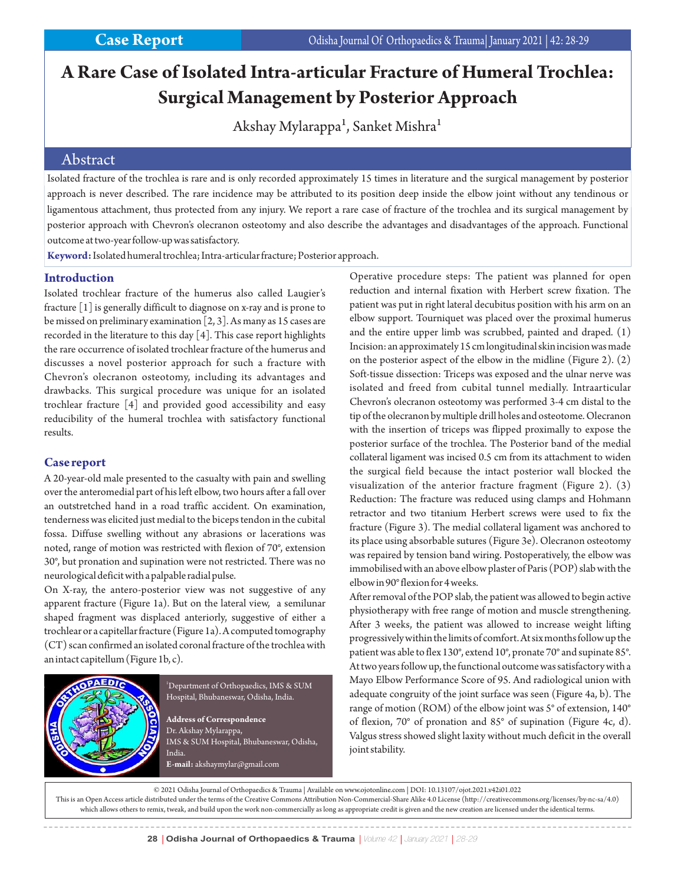# **A Rare Case of Isolated Intra-articular Fracture of Humeral Trochlea: Surgical Management by Posterior Approach**

Akshay Mylarappa<sup>1</sup>, Sanket Mishra<sup>1</sup>

### Abstract

Isolated fracture of the trochlea is rare and is only recorded approximately 15 times in literature and the surgical management by posterior approach is never described. The rare incidence may be attributed to its position deep inside the elbow joint without any tendinous or ligamentous attachment, thus protected from any injury. We report a rare case of fracture of the trochlea and its surgical management by posterior approach with Chevron's olecranon osteotomy and also describe the advantages and disadvantages of the approach. Functional outcome at two-year follow-up was satisfactory.

**Keyword:**Isolated humeral trochlea; Intra-articular fracture; Posterior approach.

#### **Introduction**

Isolated trochlear fracture of the humerus also called Laugier's fracture [1] is generally difficult to diagnose on x-ray and is prone to be missed on preliminary examination [2, 3]. As many as 15 cases are recorded in the literature to this day [4]. This case report highlights the rare occurrence of isolated trochlear fracture of the humerus and discusses a novel posterior approach for such a fracture with Chevron's olecranon osteotomy, including its advantages and drawbacks. This surgical procedure was unique for an isolated trochlear fracture [4] and provided good accessibility and easy reducibility of the humeral trochlea with satisfactory functional results.

#### **Case report**

A 20-year-old male presented to the casualty with pain and swelling over the anteromedial part of his left elbow, two hours after a fall over an outstretched hand in a road traffic accident. On examination, tenderness was elicited just medial to the biceps tendon in the cubital fossa. Diffuse swelling without any abrasions or lacerations was noted, range of motion was restricted with flexion of 70°, extension 30°, but pronation and supination were not restricted. There was no neurological deficit with a palpable radial pulse.

On X-ray, the antero-posterior view was not suggestive of any apparent fracture (Figure 1a). But on the lateral view, a semilunar shaped fragment was displaced anteriorly, suggestive of either a trochlear or a capitellar fracture (Figure 1a). A computed tomography (CT) scan confirmed an isolated coronal fracture of the trochlea with an intact capitellum (Figure 1b, c).



 $^{\rm 1}$ Department of Orthopaedics, IMS & SUM Hospital, Bhubaneswar, Odisha, India.

**Address of Correspondence** Dr. Akshay Mylarappa, IMS & SUM Hospital, Bhubaneswar, Odisha, India.

**E-mail:** akshaymylar@gmail.com

Operative procedure steps: The patient was planned for open reduction and internal fixation with Herbert screw fixation. The patient was put in right lateral decubitus position with his arm on an elbow support. Tourniquet was placed over the proximal humerus and the entire upper limb was scrubbed, painted and draped. (1) Incision: an approximately 15 cm longitudinal skin incision was made on the posterior aspect of the elbow in the midline (Figure 2). (2) Soft-tissue dissection: Triceps was exposed and the ulnar nerve was isolated and freed from cubital tunnel medially. Intraarticular Chevron's olecranon osteotomy was performed 3-4 cm distal to the tip of the olecranon by multiple drill holes and osteotome. Olecranon with the insertion of triceps was flipped proximally to expose the posterior surface of the trochlea. The Posterior band of the medial collateral ligament was incised 0.5 cm from its attachment to widen the surgical field because the intact posterior wall blocked the visualization of the anterior fracture fragment (Figure 2). (3) Reduction: The fracture was reduced using clamps and Hohmann retractor and two titanium Herbert screws were used to fix the fracture (Figure 3). The medial collateral ligament was anchored to its place using absorbable sutures (Figure 3e). Olecranon osteotomy was repaired by tension band wiring. Postoperatively, the elbow was immobilised with an above elbow plaster of Paris (POP) slab with the elbow in 90° flexion for 4 weeks.

After removal of the POP slab, the patient was allowed to begin active physiotherapy with free range of motion and muscle strengthening. After 3 weeks, the patient was allowed to increase weight lifting progressively within the limits of comfort. At six months follow up the patient was able to flex 130°, extend 10°, pronate 70° and supinate 85°. At two years follow up, the functional outcome was satisfactory with a Mayo Elbow Performance Score of 95. And radiological union with adequate congruity of the joint surface was seen (Figure 4a, b). The range of motion (ROM) of the elbow joint was 5° of extension, 140° of flexion, 70° of pronation and 85° of supination (Figure 4c, d). Valgus stress showed slight laxity without much deficit in the overall joint stability.

© 2021 Odisha Journal of Orthopaedics & Trauma | Available on www.ojotonline.com | DOI: 10.13107/ojot.2021.v42i01.022 This is an Open Access article distributed under the terms of the Creative Commons Attribution Non-Commercial-Share Alike 4.0 License (http://creativecommons.org/licenses/by-nc-sa/4.0) which allows others to remix, tweak, and build upon the work non-commercially as long as appropriate credit is given and the new creation are licensed under the identical terms.